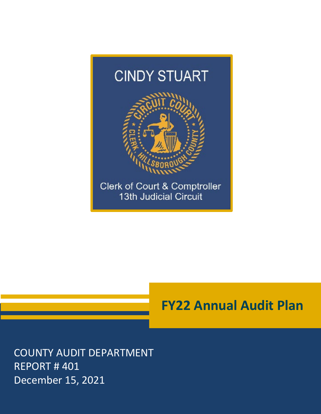

# **FY22 Annual Audit Plan**

COUNTY AUDIT DEPARTMENT REPORT # 401 December 15, 2021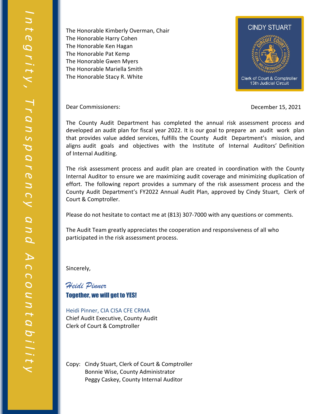The Honorable Kimberly Overman, Chair The Honorable Harry Cohen The Honorable Ken Hagan The Honorable Pat Kemp The Honorable Gwen Myers The Honorable Mariella Smith The Honorable Stacy R. White



Dear Commissioners: December 15, 2021

The County Audit Department has completed the annual risk assessment process and developed an audit plan for fiscal year 2022. It is our goal to prepare an audit work plan that provides value added services, fulfills the County Audit Department's mission, and aligns audit goals and objectives with the Institute of Internal Auditors' Definition of Internal Auditing.

The risk assessment process and audit plan are created in coordination with the County Internal Auditor to ensure we are maximizing audit coverage and minimizing duplication of effort. The following report provides a summary of the risk assessment process and the County Audit Department's FY2022 Annual Audit Plan, approved by Cindy Stuart, Clerk of Court & Comptroller.

Please do not hesitate to contact me at (813) 307-7000 with any questions or comments.

The Audit Team greatly appreciates the cooperation and responsiveness of all who participated in the risk assessment process.

Sincerely,

*Heidi Pinner*  Together, we will get to YES!

Heidi Pinner, CIA CISA CFE CRMA Chief Audit Executive, County Audit Clerk of Court & Comptroller

Copy: Cindy Stuart, Clerk of Court & Comptroller Bonnie Wise, County Administrator Peggy Caskey, County Internal Auditor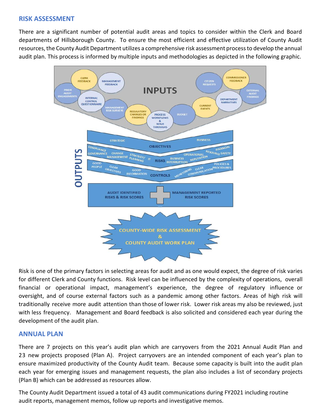#### **RISK ASSESSMENT**

There are a significant number of potential audit areas and topics to consider within the Clerk and Board departments of Hillsborough County. To ensure the most efficient and effective utilization of County Audit resources, the County Audit Department utilizes a comprehensive risk assessment process to develop the annual audit plan. This process is informed by multiple inputs and methodologies as depicted in the following graphic.



Risk is one of the primary factors in selecting areas for audit and as one would expect, the degree of risk varies for different Clerk and County functions. Risk level can be influenced by the complexity of operations, overall financial or operational impact, management's experience, the degree of regulatory influence or oversight, and of course external factors such as a pandemic among other factors. Areas of high risk will traditionally receive more audit attention than those of lower risk. Lower risk areas my also be reviewed, just with less frequency. Management and Board feedback is also solicited and considered each year during the development of the audit plan.

## **ANNUAL PLAN**

There are 7 projects on this year's audit plan which are carryovers from the 2021 Annual Audit Plan and 23 new projects proposed (Plan A). Project carryovers are an intended component of each year's plan to ensure maximized productivity of the County Audit team. Because some capacity is built into the audit plan each year for emerging issues and management requests, the plan also includes a list of secondary projects (Plan B) which can be addressed as resources allow.

The County Audit Department issued a total of 43 audit communications during FY2021 including routine audit reports, management memos, follow up reports and investigative memos.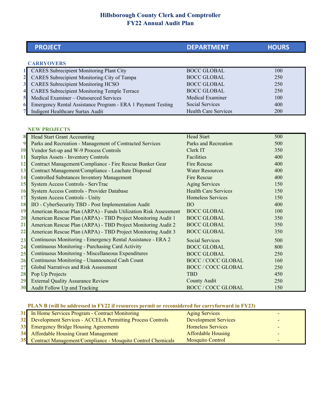## **Hillsborough County Clerk and Comptroller FY22 Annual Audit Plan**

|                         | <b>PROJECT</b>                                                  | <b>DEPARTMENT</b>           | <b>HOURS</b> |
|-------------------------|-----------------------------------------------------------------|-----------------------------|--------------|
|                         |                                                                 |                             |              |
|                         | <b>CARRYOVERS</b>                                               |                             |              |
|                         | <b>CARES</b> Subrecipient Monitoring Plant City                 | <b>BOCC GLOBAL</b>          | 100          |
| $\overline{\mathbf{2}}$ | CARES Subrecipient Monitoring City of Tampa                     | <b>BOCC GLOBAL</b>          | 250          |
| $\overline{\mathbf{3}}$ | <b>CARES</b> Subrecipient Monitoring HCSO                       | <b>BOCC GLOBAL</b>          | 250          |
| 4                       | <b>CARES</b> Subrecipient Monitoring Temple Terrace             | <b>BOCC GLOBAL</b>          | 250          |
| 5                       | Medical Examiner - Outsourced Services                          | Medical Examiner            | 100          |
| 6                       | Emergency Rental Assistance Program - ERA 1 Payment Testing     | Social Services             | 400          |
| 7                       | Indigent Healthcare Surtax Audit                                | <b>Health Care Services</b> | 200          |
|                         |                                                                 |                             |              |
|                         | <b>NEW PROJECTS</b>                                             |                             |              |
| 8                       | <b>Head Start Grant Accounting</b>                              | <b>Head Start</b>           | 500          |
| $\boldsymbol{9}$        | Parks and Recreation - Management of Contracted Services        | Parks and Recreation        | 500          |
| 10                      | Vendor Set-up and W-9 Process Controls                          | Clerk IT                    | 350          |
| 11                      | <b>Surplus Assets - Inventory Controls</b>                      | Facilities                  | 400          |
| 12                      | Contract Management/Compliance - Fire Rescue Bunker Gear        | Fire Rescue                 | 400          |
| 13                      | Contract Management/Compliance - Leachate Disposal              | <b>Water Resources</b>      | 400          |
| 14                      | <b>Controlled Substances Inventory Management</b>               | Fire Rescue                 | 400          |
| 15                      | System Access Controls - ServTrac                               | <b>Aging Services</b>       | 150          |
| 16                      | System Access Controls - Provider Database                      | <b>Health Care Services</b> | 150          |
| 17                      | System Access Controls - Unity                                  | <b>Homeless Services</b>    | 150          |
| 18                      | IIO - CyberSecurity TBD - Post Implementation Audit             | <b>IIO</b>                  | 400          |
| 19                      | American Rescue Plan (ARPA) - Funds Utilization Risk Assessment | <b>BOCC GLOBAL</b>          | 100          |
| 20                      | American Rescue Plan (ARPA) - TBD Project Monitoring Audit 1    | <b>BOCC GLOBAL</b>          | 350          |
| 21                      | American Rescue Plan (ARPA) - TBD Project Monitoring Audit 2    | <b>BOCC GLOBAL</b>          | 350          |
| 22                      | American Rescue Plan (ARPA) - TBD Project Monitoring Audit 3    | <b>BOCC GLOBAL</b>          | 350          |
| 23                      | Continuous Monitoring - Emergency Rental Assistance - ERA 2     | <b>Social Services</b>      | 500          |
| 24                      | Continuous Monitoring - Purchasing Card Activity                | <b>BOCC GLOBAL</b>          | 800          |
| 25                      | Continuous Monitoring - Miscellaneous Expenditures              | <b>BOCC GLOBAL</b>          | 250          |
| 26                      | Continuous Monitoring - Unannounced Cash Count                  | <b>BOCC / COCC GLOBAL</b>   | 160          |
| 27                      | Global Narratives and Risk Assessment                           | <b>BOCC / COCC GLOBAL</b>   | 250          |
| 28                      | Pop Up Projects                                                 | <b>TBD</b>                  | 450          |
| 29                      | <b>External Quality Assurance Review</b>                        | <b>County Audit</b>         | 250          |
| 30                      | Audit Follow Up and Tracking                                    | <b>BOCC / COCC GLOBAL</b>   | 150          |

#### **PLAN B (will be addressed in FY22 if resources permit or reconsidered for carryforward in FY23)**

| 31 In Home Services Program - Contract Monitoring              | <b>Aging Services</b>       |   |
|----------------------------------------------------------------|-----------------------------|---|
| 32 Development Services - ACCELA Permitting Process Controls   | <b>Development Services</b> |   |
| 33 Emergency Bridge Housing Agreements                         | <b>Homeless Services</b>    |   |
| 34 Affordable Housing Grant Management                         | <b>Affordable Housing</b>   | - |
| 35 Contract Management/Compliance - Mosquito Control Chemicals | <b>Mosquito Control</b>     |   |